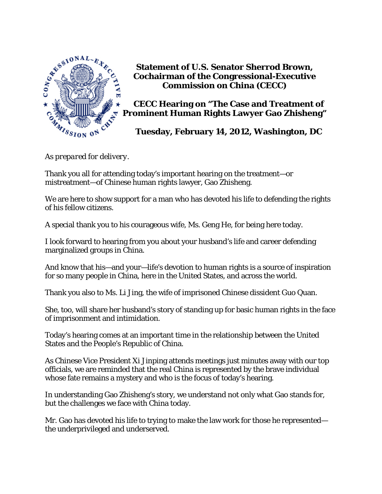

**Statement of U.S. Senator Sherrod Brown, Cochairman of the Congressional-Executive Commission on China (CECC)** 

 **CECC Hearing on "The Case and Treatment of Prominent Human Rights Lawyer Gao Zhisheng"** 

 **Tuesday, February 14, 2012, Washington, DC** 

*As prepared for delivery.* 

Thank you all for attending today's important hearing on the treatment—or mistreatment—of Chinese human rights lawyer, Gao Zhisheng.

We are here to show support for a man who has devoted his life to defending the rights of his fellow citizens.

A special thank you to his courageous wife, Ms. Geng He, for being here today.

I look forward to hearing from you about your husband's life and career defending marginalized groups in China.

And know that his—and your—life's devotion to human rights is a source of inspiration for so many people in China, here in the United States, and across the world.

Thank you also to Ms. Li Jing, the wife of imprisoned Chinese dissident Guo Quan.

She, too, will share her husband's story of standing up for basic human rights in the face of imprisonment and intimidation.

Today's hearing comes at an important time in the relationship between the United States and the People's Republic of China.

As Chinese Vice President Xi Jinping attends meetings just minutes away with our top officials, we are reminded that the real China is represented by the brave individual whose fate remains a mystery and who is the focus of today's hearing.

In understanding Gao Zhisheng's story, we understand not only what Gao stands for, but the challenges we face with China today.

Mr. Gao has devoted his life to trying to make the law work for those he represented the underprivileged and underserved.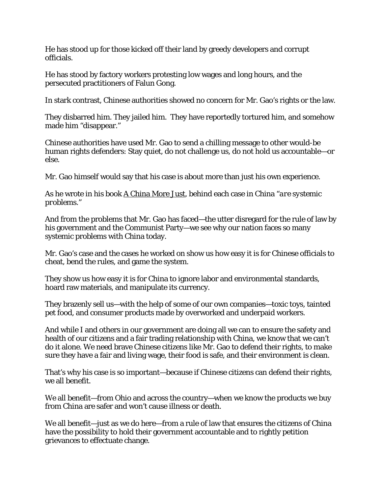He has stood up for those kicked off their land by greedy developers and corrupt officials.

He has stood by factory workers protesting low wages and long hours, and the persecuted practitioners of Falun Gong.

In stark contrast, Chinese authorities showed no concern for Mr. Gao's rights or the law.

They disbarred him. They jailed him. They have reportedly tortured him, and somehow made him "disappear."

Chinese authorities have used Mr. Gao to send a chilling message to other would-be human rights defenders: Stay quiet, do not challenge us, do not hold us accountable—or else.

Mr. Gao himself would say that his case is about more than just his own experience.

As he wrote in his book A China More Just, behind each case in China "*are systemic problems*."

And from the problems that Mr. Gao has faced—the utter disregard for the rule of law by his government and the Communist Party—we see why our nation faces so many systemic problems with China today.

Mr. Gao's case and the cases he worked on show us how easy it is for Chinese officials to cheat, bend the rules, and game the system.

They show us how easy it is for China to ignore labor and environmental standards, hoard raw materials, and manipulate its currency.

They brazenly sell us—with the help of some of our own companies—toxic toys, tainted pet food, and consumer products made by overworked and underpaid workers.

And while I and others in our government are doing all we can to ensure the safety and health of our citizens and a fair trading relationship with China, we know that we can't do it alone. We need brave Chinese citizens like Mr. Gao to defend their rights, to make sure they have a fair and living wage, their food is safe, and their environment is clean.

That's why his case is so important—because if Chinese citizens can defend their rights, we all benefit.

We all benefit—from Ohio and across the country—when we know the products we buy from China are safer and won't cause illness or death.

We all benefit—just as we do here—from a rule of law that ensures the citizens of China have the possibility to hold their government accountable and to rightly petition grievances to effectuate change.